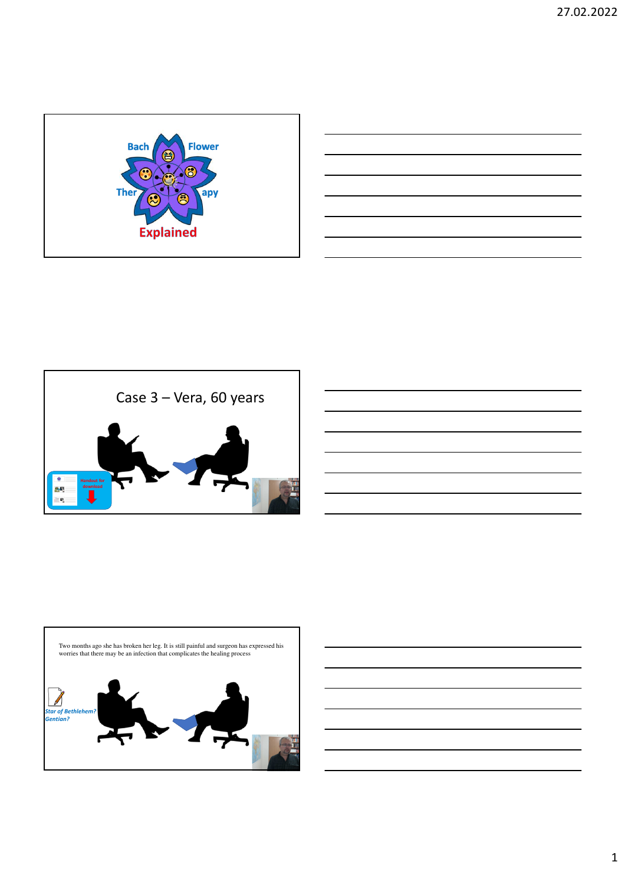



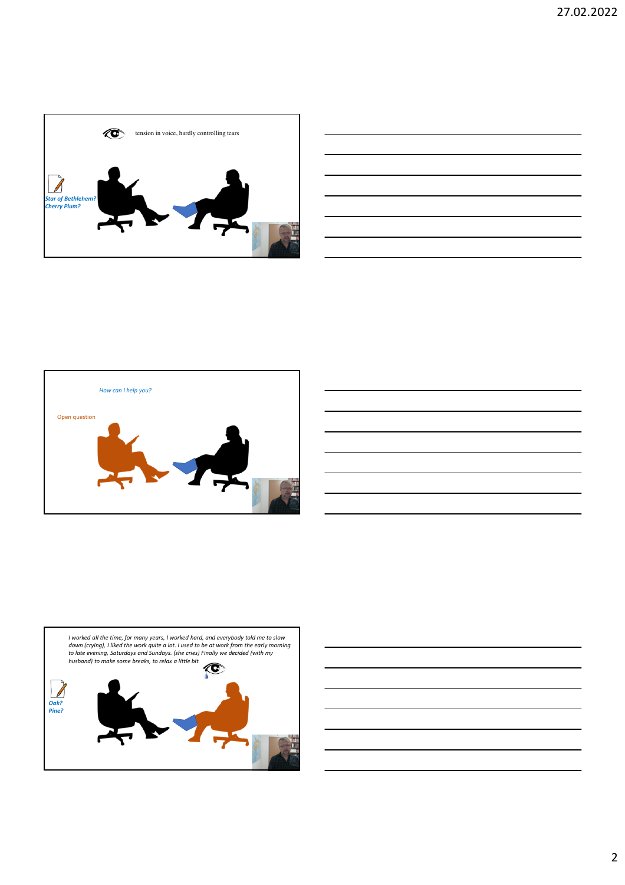







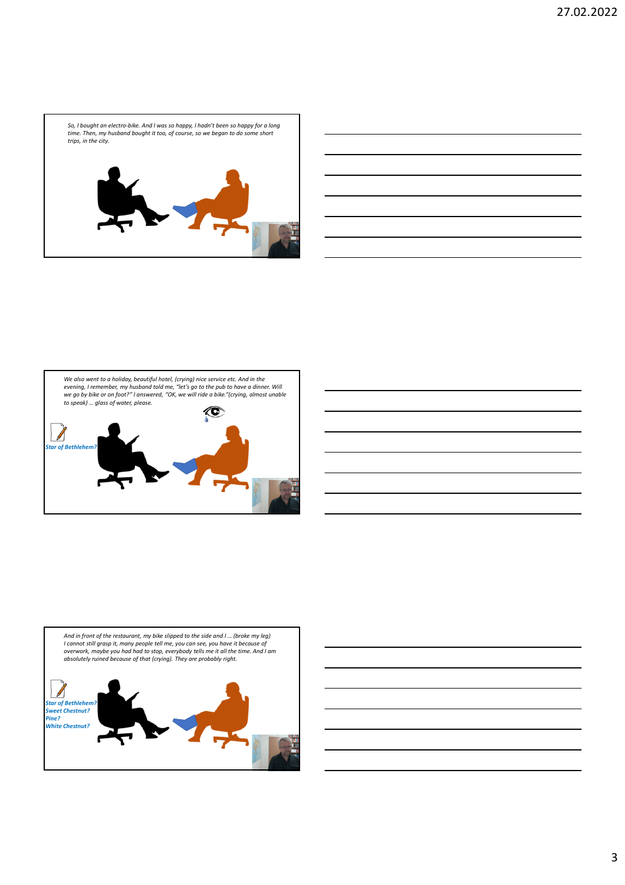



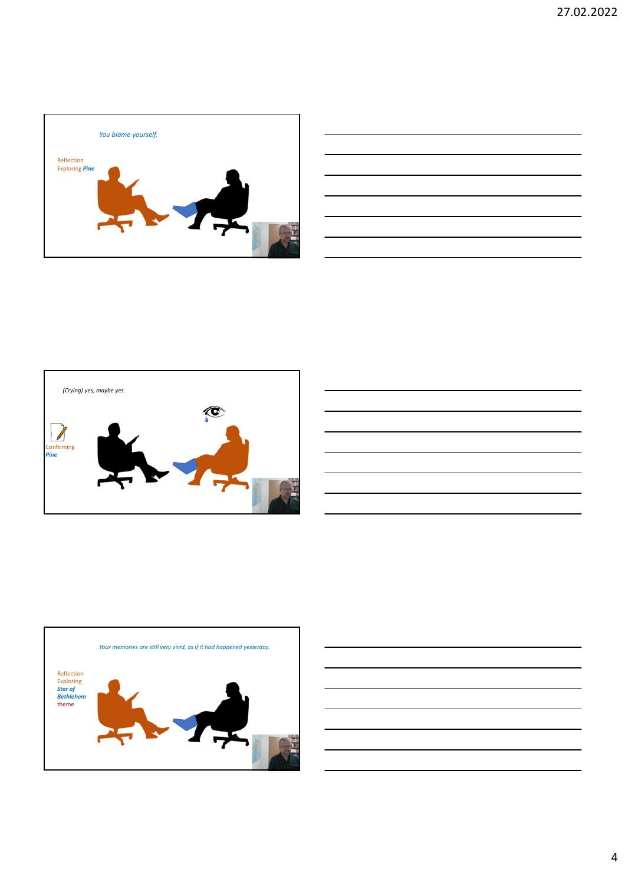







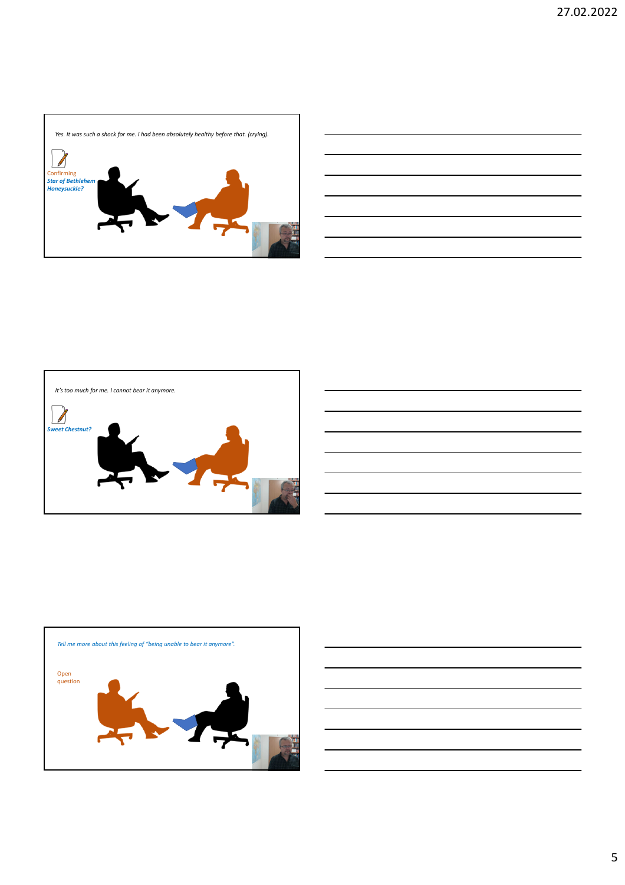





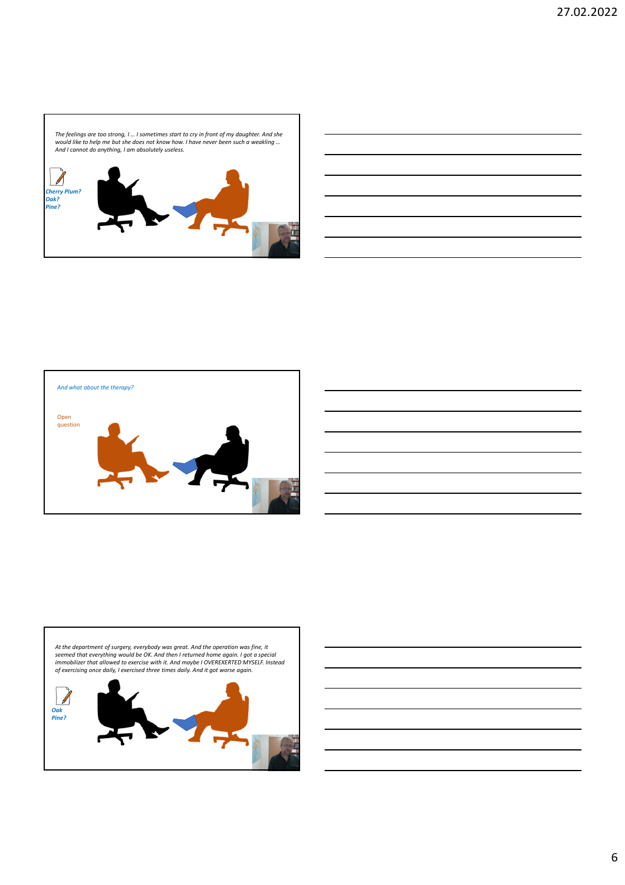





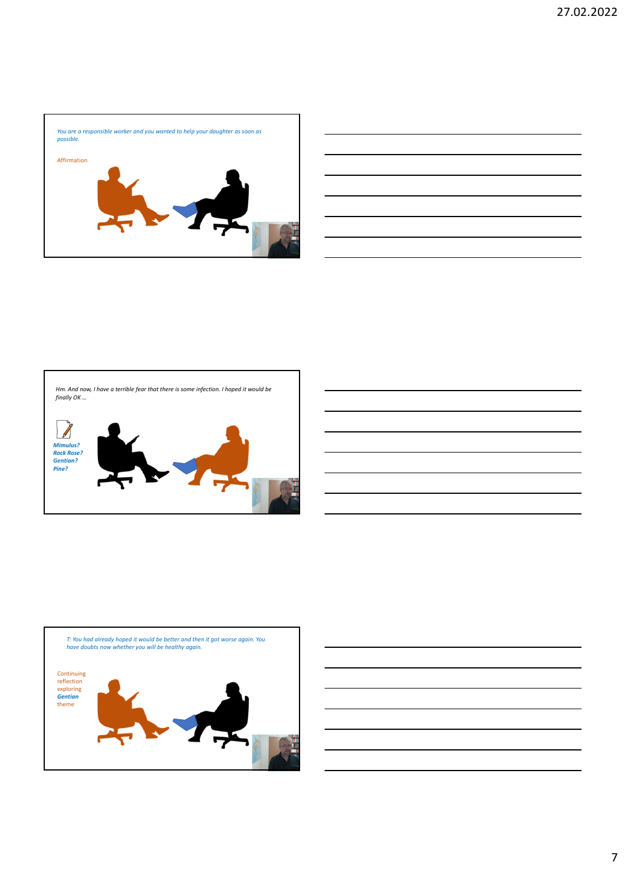





7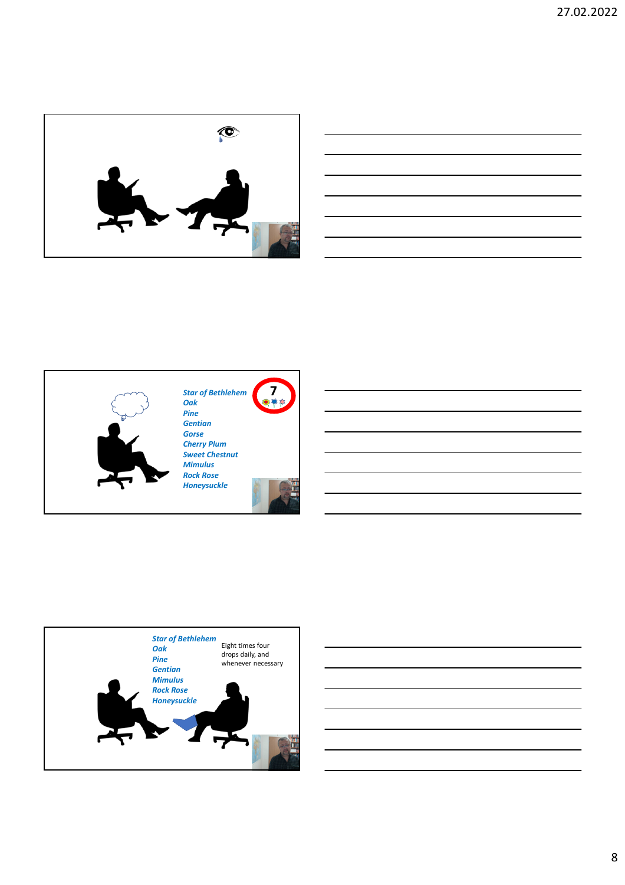







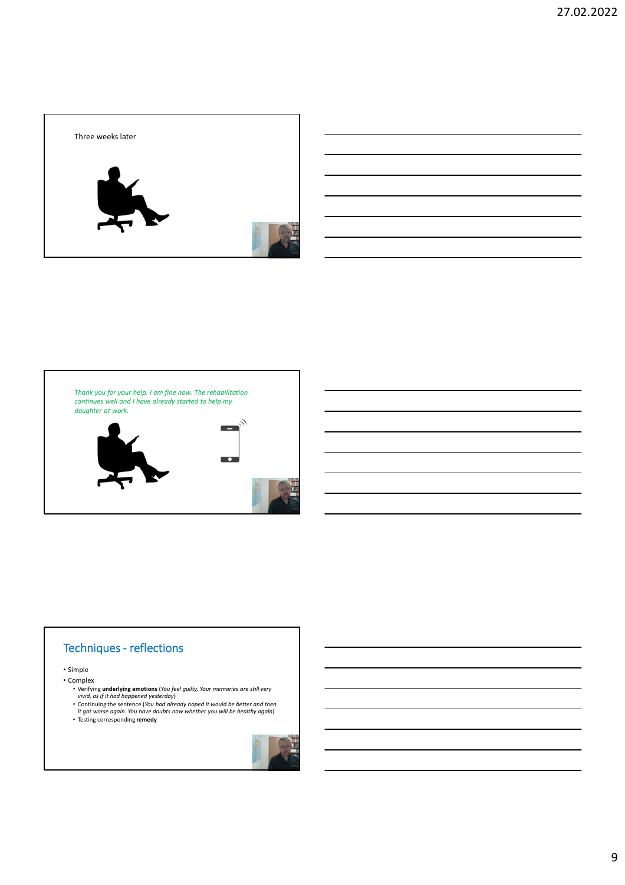



## Techniques - reflections

## • Simple

- Complex
	- Verifying **underlying emotions** (*You feel guilty, Your memories are still very vivid, as if it had happened yesterday*)
	- Continuing the sentence (*You had already hoped it would be better and then it got worse again. You have doubts now whether you will be healthy again*) Testing corresponding **remedy**
	-